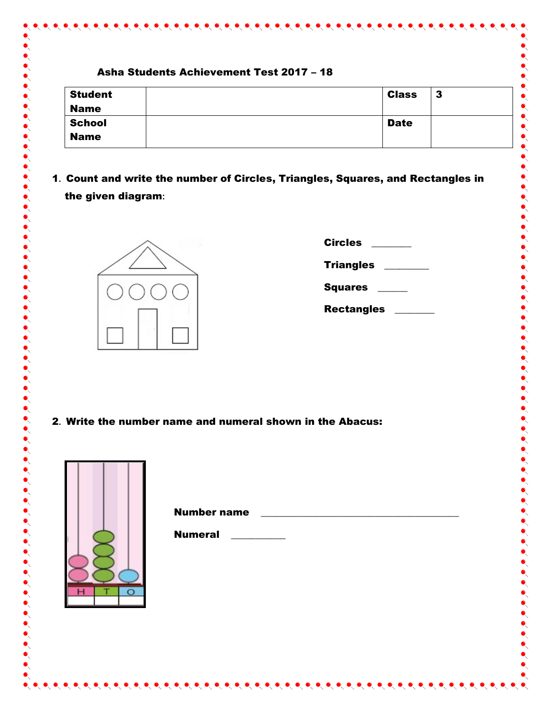|  | Asha Students Achievement Test 2017 - 18 |
|--|------------------------------------------|
|--|------------------------------------------|

| <b>Student</b> | <b>Class</b> | - 3 |
|----------------|--------------|-----|
| <b>Name</b>    |              |     |
| <b>School</b>  | <b>Date</b>  |     |
| <b>Name</b>    |              |     |

 $\bullet\hspace{-4pt}\bullet\hspace{-4pt}\bullet\hspace{-4pt}\bullet\hspace{-4pt}\bullet\hspace{-4pt}\bullet\hspace{-4pt}\bullet\hspace{-4pt}\bullet$ 

1**.** Count and write the number of Circles, Triangles, Squares, and Rectangles in the given diagram**:**



| <b>Circles</b>    |  |
|-------------------|--|
| <b>Triangles</b>  |  |
| <b>Squares</b>    |  |
| <b>Rectangles</b> |  |

2**.** Write the number name and numeral shown in the Abacus:



| <b>Number name</b> |  |  |  |
|--------------------|--|--|--|
| <b>Numeral</b>     |  |  |  |
|                    |  |  |  |
|                    |  |  |  |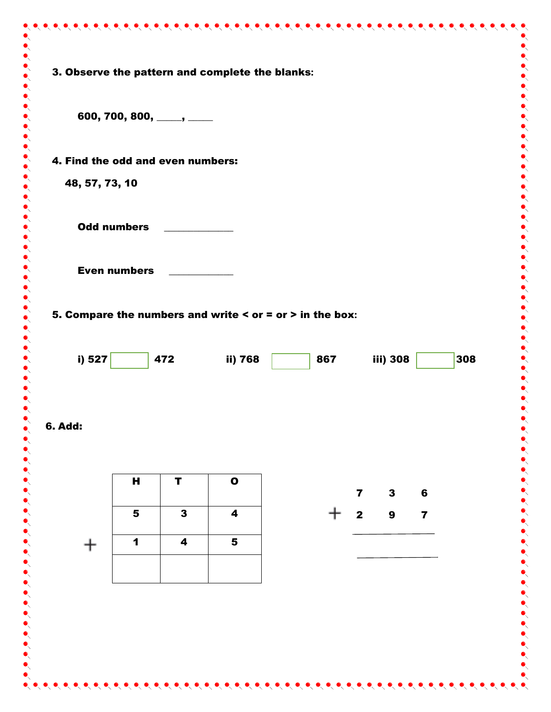|                                   |                     | 600, 700, 800, ____, ___ |                                                              |     |                         |                  |                         |     |
|-----------------------------------|---------------------|--------------------------|--------------------------------------------------------------|-----|-------------------------|------------------|-------------------------|-----|
| 4. Find the odd and even numbers: |                     |                          |                                                              |     |                         |                  |                         |     |
| 48, 57, 73, 10                    |                     |                          |                                                              |     |                         |                  |                         |     |
|                                   | <b>Odd numbers</b>  |                          |                                                              |     |                         |                  |                         |     |
|                                   | <b>Even numbers</b> |                          |                                                              |     |                         |                  |                         |     |
|                                   |                     |                          |                                                              |     |                         |                  |                         |     |
|                                   |                     |                          | 5. Compare the numbers and write $\le$ or = or > in the box: |     |                         |                  |                         |     |
| i) 527                            |                     | 472                      | ii) 768                                                      | 867 |                         | iii) 308         |                         | 308 |
|                                   |                     |                          |                                                              |     |                         |                  |                         |     |
| <b>6. Add:</b>                    |                     |                          |                                                              |     |                         |                  |                         |     |
|                                   |                     |                          |                                                              |     |                         |                  |                         |     |
|                                   | H                   | $\mathbf T$              | $\bullet$                                                    |     | $\overline{\mathbf{z}}$ | $\mathbf{3}$     | $6\phantom{1}$          |     |
|                                   |                     | $\overline{\mathbf{3}}$  | $\overline{\mathbf{4}}$                                      |     | $\mathbf{2}$            | $\boldsymbol{9}$ | $\overline{\mathbf{z}}$ |     |
|                                   | 5                   |                          |                                                              |     |                         |                  |                         |     |
|                                   | $\mathbf 1$         | 4                        | $5\phantom{1}$                                               |     |                         |                  |                         |     |
|                                   |                     |                          |                                                              |     |                         |                  |                         |     |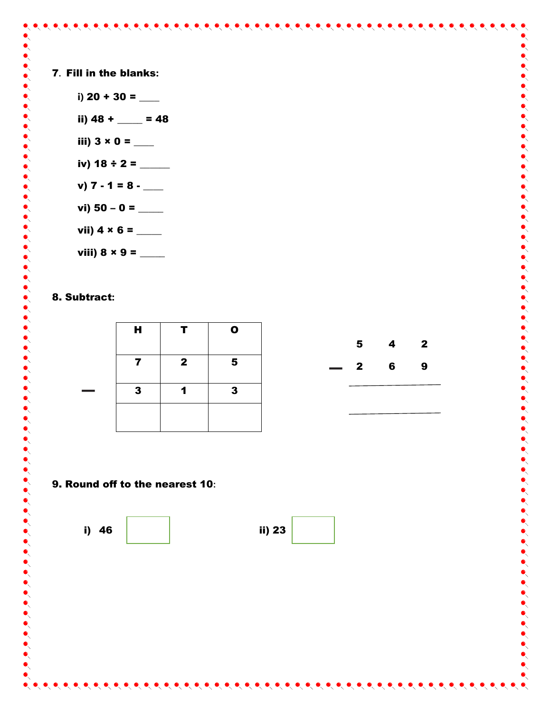7**.** Fill in the blanks**:**

i)  $20 + 30 =$  \_\_\_\_\_\_ ii)  $48 + \_ = 48$ iii)  $3 \times 0 =$  \_\_\_\_\_\_\_ iv) 18  $\div$  2 =  $\frac{1}{2}$ v)  $7 - 1 = 8$ vi) 50 – 0 =  $\_\_$ vii)  $4 \times 6 =$  \_\_\_\_\_\_\_\_ viii) 8 × 9 = \_\_\_\_\_

## 8. Subtract**:**

| H. | T.           | $\mathbf o$             |                          |                |                         |              |
|----|--------------|-------------------------|--------------------------|----------------|-------------------------|--------------|
|    |              |                         |                          | 5 <sub>5</sub> | $\overline{\mathbf{4}}$ | $\mathbf{2}$ |
| 7  | $\mathbf{2}$ | $\overline{\mathbf{5}}$ | $\overline{\phantom{a}}$ | $\mathbf{2}$   | $6\overline{6}$         | 9            |
| 3  | 1            | $\mathbf{3}$            |                          |                |                         |              |
|    |              |                         |                          |                |                         |              |

 $\bullet\hspace{-0.2em}\bullet\hspace{-0.2em}\bullet\hspace{-0.2em}\bullet\hspace{-0.2em}\bullet\hspace{-0.2em}\bullet\hspace{-0.2em}\bullet\hspace{-0.2em}\bullet\hspace{-0.2em}\bullet\hspace{-0.2em}\bullet\hspace{-0.2em}\bullet\hspace{-0.2em}\bullet\hspace{-0.2em}\bullet\hspace{-0.2em}\bullet\hspace{-0.2em}\bullet\hspace{-0.2em}\bullet\hspace{-0.2em}\bullet\hspace{-0.2em}\bullet\hspace{-0.2em}\bullet\hspace{-0.2em}\bullet\hspace{-0.2em}\bullet\hspace{-0.2em}\bullet\hspace{-0.2em$ 

## 9. Round off to the nearest 10**:**



| i) 46 | ii) 23 |
|-------|--------|
|       |        |